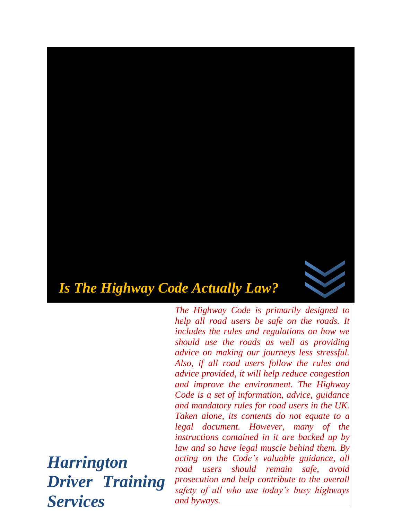

*The Highway Code is primarily designed to help all road users be safe on the roads. It includes the rules and regulations on how we should use the roads as well as providing advice on making our journeys less stressful. Also, if all road users follow the rules and advice provided, it will help reduce congestion and improve the environment. The Highway Code is a set of information, advice, guidance and mandatory rules for road users in the UK. Taken alone, its contents do not equate to a legal document. However, many of the instructions contained in it are backed up by law and so have legal muscle behind them. By acting on the Code's valuable guidance, all road users should remain safe, avoid prosecution and help contribute to the overall safety of all who use today's busy highways and byways.* 

*Harrington Driver Training Services*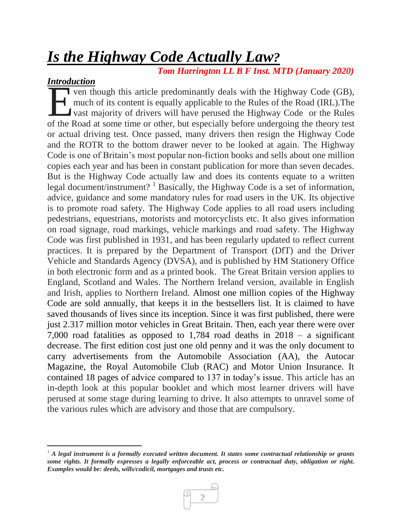# *Is the Highway Code Actually Law?*

 *Tom Harrington LL B F Inst. MTD (January 2020)*

## *Introduction*

 $\overline{a}$ 

ven though this article predominantly deals with the Highway Code (GB), much of its content is equally applicable to the Rules of the Road (IRL).The vast majority of drivers will have perused the Highway Code or the Rules The Road at some time or other, but especially before undergoing the theory test<br>of the Road at some time or other, but especially before undergoing the theory test<br>about the Road at some time or other, but especially befo or actual driving test. Once passed, many drivers then resign the Highway Code and the ROTR to the bottom drawer never to be looked at again. The Highway Code is one of Britain's most popular non-fiction books and sells about one million copies each year and has been in constant publication for more than seven decades. But is the Highway Code actually law and does its contents equate to a written legal document/instrument?<sup>1</sup> Basically, the Highway Code is a set of information, advice, guidance and some mandatory rules for road users in the UK. Its objective is to promote road safety. The Highway Code applies to all road users including pedestrians, equestrians, motorists and motorcyclists etc. It also gives information on road signage, road markings, vehicle markings and road safety. The Highway Code was first published in 1931, and has been regularly updated to reflect current practices. It is prepared by the Department of Transport (DfT) and the Driver Vehicle and Standards Agency (DVSA), and is published by HM Stationery Office in both electronic form and as a printed book. The Great Britain version applies to England, Scotland and Wales. The Northern Ireland version, available in English and Irish, applies to Northern Ireland. Almost one million copies of the Highway Code are sold annually, that keeps it in the bestsellers list. It is claimed to have saved thousands of lives since its inception. Since it was first published, there were just 2.317 million motor vehicles in Great Britain. Then, each year there were over 7,000 road fatalities as opposed to 1,784 road deaths in 2018 – a significant decrease. The first edition cost just one old penny and it was the only document to carry advertisements from the Automobile Association (AA), the Autocar Magazine, the Royal Automobile Club (RAC) and Motor Union Insurance. It contained 18 pages of advice compared to 137 in today's issue. This article has an in-depth look at this popular booklet and which most learner drivers will have perused at some stage during learning to drive. It also attempts to unravel some of the various rules which are advisory and those that are compulsory.

<sup>&</sup>lt;sup>1</sup> *A legal instrument is a formally executed written document. It states some contractual relationship or grants some rights. It formally expresses a legally enforceable act, process or contractual duty, obligation or right. Examples would be: deeds, wills/codicil, mortgages and trusts etc.* 

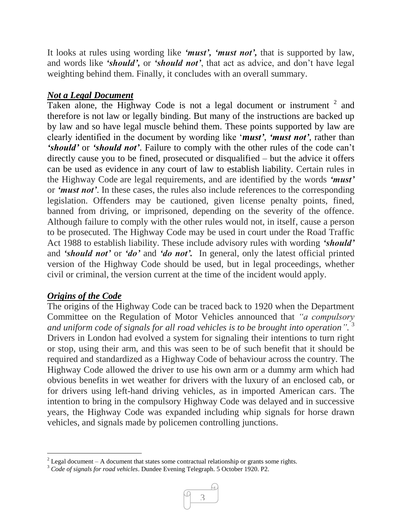It looks at rules using wording like *'must', 'must not',* that is supported by law, and words like *'should',* or *'should not'*, that act as advice, and don't have legal weighting behind them. Finally, it concludes with an overall summary.

# *Not a Legal Document*

Taken alone, the Highway Code is not a legal document or instrument  $2$  and therefore is not law or legally binding. But many of the instructions are backed up by law and so have legal muscle behind them. These points supported by law are clearly identified in the document by wording like '*must'*, *'must not'*, rather than *'should'* or *'should not'*. Failure to comply with the other rules of the code can't directly cause you to be fined, prosecuted or disqualified – but the advice it offers can be used as evidence in any court of law to establish liability. Certain rules in the Highway Code are legal requirements, and are identified by the words *'must'* or *'must not'*. In these cases, the rules also include references to the corresponding legislation. Offenders may be cautioned, given license penalty points, fined, banned from driving, or imprisoned, depending on the severity of the offence. Although failure to comply with the other rules would not, in itself, cause a person to be prosecuted. The Highway Code may be used in court under the Road Traffic Act 1988 to establish liability. These include advisory rules with wording *'should'* and *'should not'* or *'do'* and *'do not'.* In general, only the latest official printed version of the Highway Code should be used, but in legal proceedings, whether civil or criminal, the version current at the time of the incident would apply.

## *Origins of the Code*

l

The origins of the Highway Code can be traced back to 1920 when the Department Committee on the Regulation of Motor Vehicles announced that *"a compulsory and uniform code of signals for all road vehicles is to be brought into operation".* 3 Drivers in London had evolved a system for signaling their intentions to turn right or stop, using their arm, and this was seen to be of such benefit that it should be required and standardized as a Highway Code of behaviour across the country. The Highway Code allowed the driver to use his own arm or a dummy arm which had obvious benefits in wet weather for drivers with the luxury of an enclosed cab, or for drivers using left-hand driving vehicles, as in imported American cars. The intention to bring in the compulsory Highway Code was delayed and in successive years, the Highway Code was expanded including whip signals for horse drawn vehicles, and signals made by policemen controlling junctions.

<sup>3</sup> *Code of signals for road vehicles*. Dundee Evening Telegraph. 5 October 1920. P2.



<sup>&</sup>lt;sup>2</sup> Legal document – A document that states some contractual relationship or grants some rights.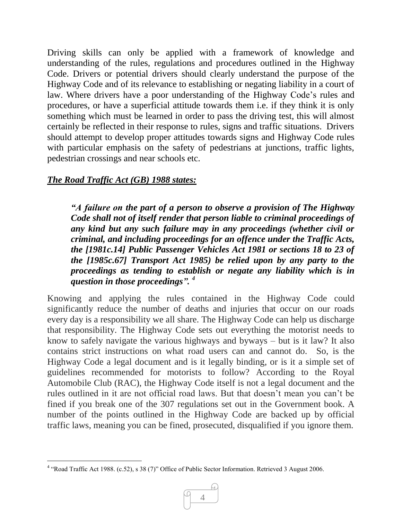Driving skills can only be applied with a framework of knowledge and understanding of the rules, regulations and procedures outlined in the Highway Code. Drivers or potential drivers should clearly understand the purpose of the Highway Code and of its relevance to establishing or negating liability in a court of law. Where drivers have a poor understanding of the Highway Code's rules and procedures, or have a superficial attitude towards them i.e. if they think it is only something which must be learned in order to pass the driving test, this will almost certainly be reflected in their response to rules, signs and traffic situations. Drivers should attempt to develop proper attitudes towards signs and Highway Code rules with particular emphasis on the safety of pedestrians at junctions, traffic lights, pedestrian crossings and near schools etc.

## *The [Road Traffic Act \(GB\) 1988](https://en.wikipedia.org/wiki/Road_Traffic_Act_1988) states:*

*"A failure on the part of a person to observe a provision of The Highway Code shall not of itself render that person liable to criminal proceedings of any kind but any such failure may in any proceedings (whether civil or criminal, and including proceedings for an offence under the Traffic Acts, the [1981c.14] Public Passenger Vehicles Act 1981 or sections 18 to 23 of the [1985c.67] Transport Act 1985) be relied upon by any party to the proceedings as tending to establish or negate any liability which is in question in those proceedings". <sup>4</sup>*

Knowing and applying the rules contained in the Highway Code could significantly reduce the number of deaths and injuries that occur on our roads every day is a responsibility we all share. The Highway Code can help us discharge that responsibility. The Highway Code sets out everything the motorist needs to know to safely navigate the various highways and byways – but is it law? It also contains strict instructions on what road users can and cannot do. So, is the Highway Code a legal document and is it legally binding, or is it a simple set of guidelines recommended for motorists to follow? According to the Royal Automobile Club (RAC), the Highway Code itself is not a legal document and the rules outlined in it are not official road laws. But that doesn't mean you can't be fined if you break one of the 307 regulations set out in the Government book. A number of the points outlined in the Highway Code are backed up by official traffic laws, meaning you can be fined, prosecuted, disqualified if you ignore them.

 4 "Road Traffic Act 1988. (c.52), s 38 (7)" Office of Public Sector Information. Retrieved 3 August 2006.

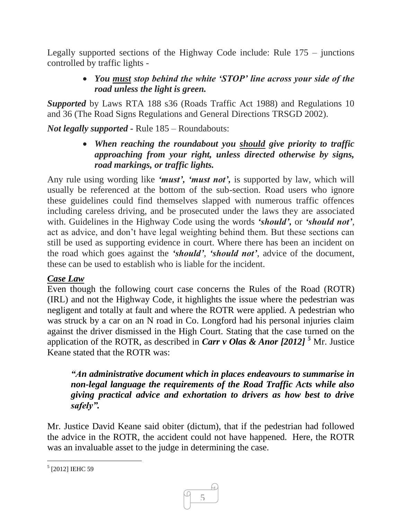Legally supported sections of the Highway Code include: Rule 175 – junctions controlled by traffic lights -

## *You must stop behind the white 'STOP' line across your side of the road unless the light is green.*

*Supported* by Laws RTA 188 s36 (Roads Traffic Act 1988) and Regulations 10 and 36 (The Road Signs Regulations and General Directions TRSGD 2002).

*Not legally supported -* Rule 185 – Roundabouts:

 *When reaching the roundabout you should give priority to traffic approaching from your right, unless directed otherwise by signs, road markings, or traffic lights.* 

Any rule using wording like *'must', 'must not',* is supported by law, which will usually be referenced at the bottom of the sub-section. Road users who ignore these guidelines could find themselves slapped with numerous traffic offences including careless driving, and be prosecuted under the laws they are associated with. Guidelines in the Highway Code using the words *'should',* or *'should not'*, act as advice, and don't have legal weighting behind them. But these sections can still be used as supporting evidence in court. Where there has been an incident on the road which goes against the *'should'*, *'should not'*, advice of the document, these can be used to establish who is liable for the incident.

## *Case Law*

Even though the following court case concerns the Rules of the Road (ROTR) (IRL) and not the Highway Code, it highlights the issue where the pedestrian was negligent and totally at fault and where the ROTR were applied. A pedestrian who was struck by a car on an N road in Co. Longford had his personal injuries claim against the driver dismissed in the High Court. Stating that the case turned on the application of the ROTR, as described in *Carr v Olas & Anor [2012] <sup>5</sup>* Mr. Justice Keane stated that the ROTR was:

*"An administrative document which in places endeavours to summarise in non-legal language the requirements of the Road Traffic Acts while also giving practical advice and exhortation to drivers as how best to drive safely".*

Mr. Justice David Keane said obiter (dictum), that if the pedestrian had followed the advice in the ROTR, the accident could not have happened. Here, the ROTR was an invaluable asset to the judge in determining the case.



 $\overline{a}$ 5 [2012] IEHC 59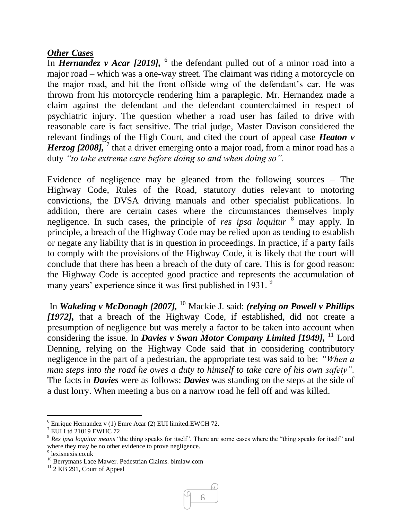#### *Other Cases*

In *Hernandez v Acar [2019]*, <sup>6</sup> the defendant pulled out of a minor road into a major road – which was a one-way street. The claimant was riding a motorcycle on the major road, and hit the front offside wing of the defendant's car. He was thrown from his motorcycle rendering him a paraplegic. Mr. Hernandez made a claim against the defendant and the defendant counterclaimed in respect of psychiatric injury. The question whether a road user has failed to drive with reasonable care is fact sensitive. The trial judge, Master Davison considered the relevant findings of the High Court, and cited the court of appeal case *Heaton v Herzog [2008]*, <sup>7</sup> that a driver emerging onto a major road, from a minor road has a duty *"to take extreme care before doing so and when doing so".*

Evidence of negligence may be gleaned from the following sources – The Highway Code, Rules of the Road, statutory duties relevant to motoring convictions, the DVSA driving manuals and other specialist publications. In addition, there are certain cases where the circumstances themselves imply negligence. In such cases, the principle of *res ipsa loquitur* <sup>8</sup> may apply. In principle, a breach of the Highway Code may be relied upon as tending to establish or negate any liability that is in question in proceedings. In practice, if a party fails to comply with the provisions of the Highway Code, it is likely that the court will conclude that there has been a breach of the duty of care. This is for good reason: the Highway Code is accepted good practice and represents the accumulation of many years' experience since it was first published in 1931.<sup>9</sup>

In *Wakeling v McDonagh [2007],* <sup>10</sup> Mackie J. said: *(relying on Powell v Phillips [1972],* that a breach of the Highway Code, if established, did not create a presumption of negligence but was merely a factor to be taken into account when considering the issue. In *Davies v Swan Motor Company Limited [1949]*, <sup>11</sup> Lord Denning, relying on the Highway Code said that in considering contributory negligence in the part of a pedestrian, the appropriate test was said to be: *"When a man steps into the road he owes a duty to himself to take care of his own safety".*  The facts in *Davies* were as follows: *Davies* was standing on the steps at the side of a dust lorry. When meeting a bus on a narrow road he fell off and was killed.

 $\overline{a}$ 



 $6$  Enrique Hernandez v (1) Emre Acar (2) EUI limited.EWCH 72.

 $7$  EUI Ltd 21019 EWHC 72

<sup>8</sup> *Res ipsa loquitur means* "the thing speaks for itself". There are some cases where the "thing speaks for itself" and where they may be no other evidence to prove negligence.

<sup>9</sup> lexisnexis.co.uk

<sup>10</sup> Berrymans Lace Mawer. Pedestrian Claims. blmlaw.com

 $11$  2 KB 291, Court of Appeal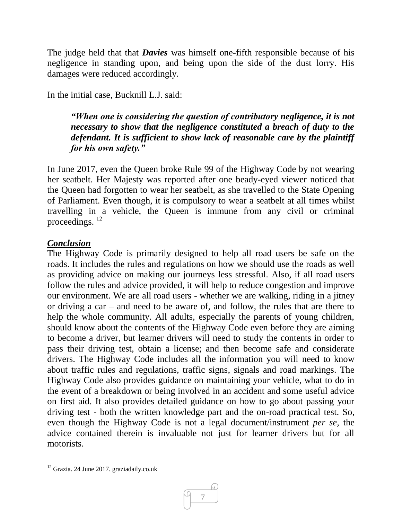The judge held that that *Davies* was himself one-fifth responsible because of his negligence in standing upon, and being upon the side of the dust lorry. His damages were reduced accordingly.

In the initial case, Bucknill L.J. said:

*"When one is considering the question of contributory negligence, it is not necessary to show that the negligence constituted a breach of duty to the defendant. It is sufficient to show lack of reasonable care by the plaintiff for his own safety."*

In June 2017, even the Queen broke Rule 99 of the Highway Code by not wearing her seatbelt. Her Majesty was reported after one beady-eyed viewer noticed that the Queen had forgotten to wear her seatbelt, as she travelled to the State Opening of Parliament. Even though, it is compulsory to wear a seatbelt at all times whilst travelling in a vehicle, the Queen is immune from any civil or criminal proceedings.<sup>12</sup>

### *Conclusion*

The Highway Code is primarily designed to help all road users be safe on the roads. It includes the rules and regulations on how we should use the roads as well as providing advice on making our journeys less stressful. Also, if all road users follow the rules and advice provided, it will help to reduce congestion and improve our environment. We are all road users - whether we are walking, riding in a jitney or driving a car – and need to be aware of, and follow, the rules that are there to help the whole community. All adults, especially the parents of young children, should know about the contents of the Highway Code even before they are aiming to become a driver, but learner drivers will need to study the contents in order to pass their driving test, obtain a license; and then become safe and considerate drivers. The Highway Code includes all the information you will need to know about traffic rules and regulations, traffic signs, signals and road markings. The Highway Code also provides guidance on maintaining your vehicle, what to do in the event of a breakdown or being involved in an accident and some useful advice on first aid. It also provides detailed guidance on how to go about passing your driving test - both the written knowledge part and the on-road practical test. So, even though the Highway Code is not a legal document/instrument *per se,* the advice contained therein is invaluable not just for learner drivers but for all motorists.

 $\overline{a}$ 



 $12$  Grazia. 24 June 2017. graziadaily.co.uk